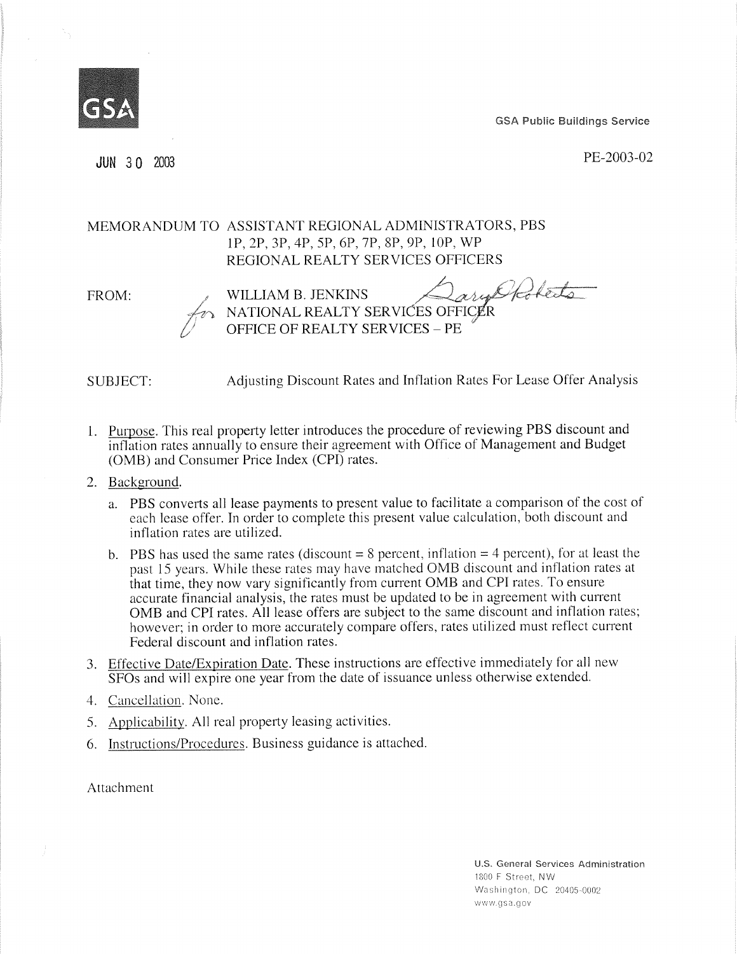GSA Public Buildings Service



JUN 3 0 2003 PE-2003-02

## MEMORANDUM TO ASSISTANT REGIONAL ADMINISTRATORS, PBS IP, 2P, 3P, 4P, 5P, 6P, 7P, 8P, 9P, 10P, WP REGIONAL REALTY SERVICES OFFICERS

FROM:

arytholets WILLIAM B. JENKINS NATIONAL REALTY SERVICES OFFICER OFFICE OF REALTY SERVICES — PE

SUBJECT: Adjusting Discount Rates and Inflation Rates For Lease Offer Analysis

- 1. Purpose. This real property letter introduces the procedure of reviewing PBS discount and inflation rates annually to ensure their agreement with Office of Management and Budget (OMB) and Consumer Price Index (CPI) rates.
- 2. Background.
	- a. PBS converts all lease payments to present value to facilitate a comparison of the cost of each lease offer. In order to complete this present value calculation, both discount and inflation rates are utilized.
	- b. PBS has used the same rates (discount  $= 8$  percent, inflation  $= 4$  percent), for at least the past 15 years. While these rates may have matched OMB discount and inflation rates at that time, they now vary significantly from current OMB and CPI rates. To ensure accurate financial analysis, the rates must be updated to be in agreement with current OMB and CPI rates. All lease offers are subject to the same discount and inflation rates; however; in order to more accurately compare offers, rates utilized must reflect current Federal discount and inflation rates.
- 3. Effective Date/Expiration Date. These instructions are effective immediately for all new SFOs and will expire one year from the date of issuance unless otherwise extended.
- 4. Cancellation. None.
- 5. Applicability. All real property leasing activities.
- 6. Instructions/Procedures. Business guidance is attached.

Attachment

U.S. General Services Administration 1800 F Street, NW Washington, DC 20405-0002 www.gsa.gov